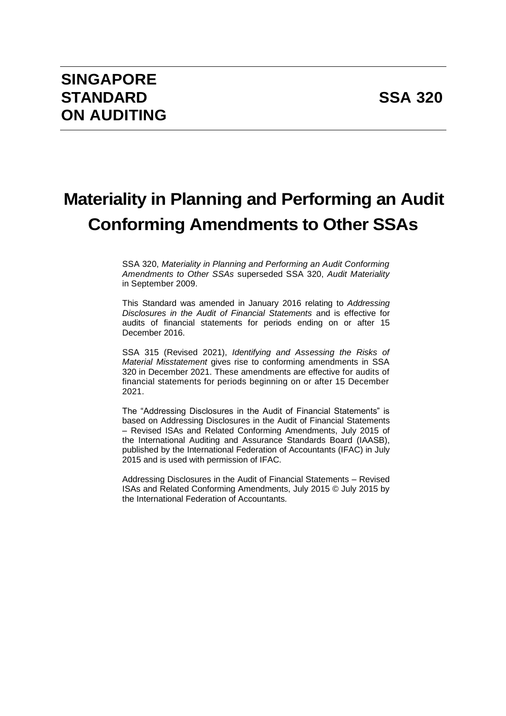# **Materiality in Planning and Performing an Audit Conforming Amendments to Other SSAs**

SSA 320, *Materiality in Planning and Performing an Audit Conforming Amendments to Other SSAs* superseded SSA 320, *Audit Materiality* in September 2009.

This Standard was amended in January 2016 relating to *Addressing Disclosures in the Audit of Financial Statements* and is effective for audits of financial statements for periods ending on or after 15 December 2016.

SSA 315 (Revised 2021), *Identifying and Assessing the Risks of Material Misstatement* gives rise to conforming amendments in SSA 320 in December 2021. These amendments are effective for audits of financial statements for periods beginning on or after 15 December 2021.

The "Addressing Disclosures in the Audit of Financial Statements" is based on Addressing Disclosures in the Audit of Financial Statements – Revised ISAs and Related Conforming Amendments, July 2015 of the International Auditing and Assurance Standards Board (IAASB), published by the International Federation of Accountants (IFAC) in July 2015 and is used with permission of IFAC.

Addressing Disclosures in the Audit of Financial Statements – Revised ISAs and Related Conforming Amendments, July 2015 © July 2015 by the International Federation of Accountants.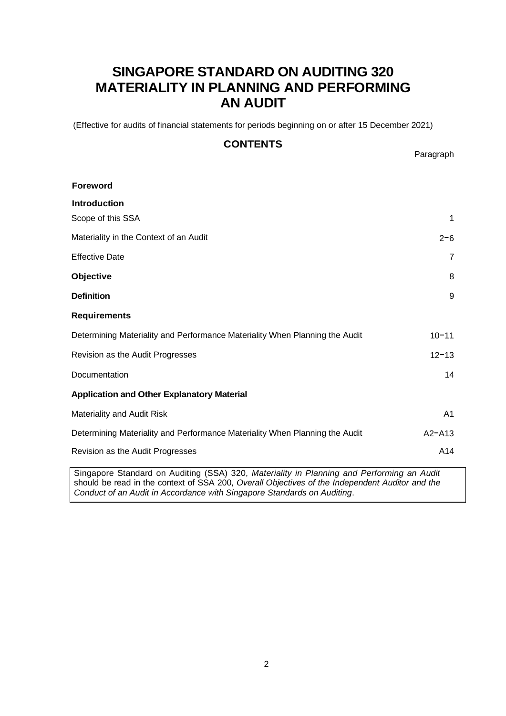# **SINGAPORE STANDARD ON AUDITING 320 MATERIALITY IN PLANNING AND PERFORMING AN AUDIT**

(Effective for audits of financial statements for periods beginning on or after 15 December 2021)

### **CONTENTS**

Paragraph

| <b>Foreword</b>                                                             |                |
|-----------------------------------------------------------------------------|----------------|
| <b>Introduction</b>                                                         |                |
| Scope of this SSA                                                           | 1              |
| Materiality in the Context of an Audit                                      | $2 - 6$        |
| <b>Effective Date</b>                                                       | $\overline{7}$ |
| Objective                                                                   | 8              |
| <b>Definition</b>                                                           | 9              |
| <b>Requirements</b>                                                         |                |
| Determining Materiality and Performance Materiality When Planning the Audit | $10 - 11$      |
| Revision as the Audit Progresses                                            | $12 - 13$      |
| Documentation                                                               | 14             |
| <b>Application and Other Explanatory Material</b>                           |                |
| Materiality and Audit Risk                                                  | A <sub>1</sub> |
| Determining Materiality and Performance Materiality When Planning the Audit | $A2 - A13$     |
| Revision as the Audit Progresses                                            | A14            |

Singapore Standard on Auditing (SSA) 320, *Materiality in Planning and Performing an Audit* should be read in the context of SSA 200, *Overall Objectives of the Independent Auditor and the Conduct of an Audit in Accordance with Singapore Standards on Auditing*.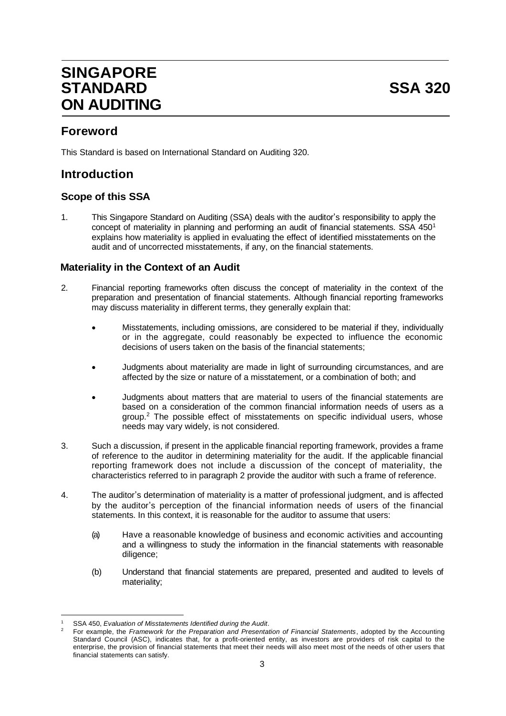# **SINGAPORE STANDARD SSA 320 ON AUDITING**

# **Foreword**

This Standard is based on International Standard on Auditing 320.

# **Introduction**

# **Scope of this SSA**

1. This Singapore Standard on Auditing (SSA) deals with the auditor's responsibility to apply the concept of materiality in planning and performing an audit of financial statements. SSA 450<sup>1</sup> explains how materiality is applied in evaluating the effect of identified misstatements on the audit and of uncorrected misstatements, if any, on the financial statements.

### **Materiality in the Context of an Audit**

- 2. Financial reporting frameworks often discuss the concept of materiality in the context of the preparation and presentation of financial statements. Although financial reporting frameworks may discuss materiality in different terms, they generally explain that:
	- Misstatements, including omissions, are considered to be material if they, individually or in the aggregate, could reasonably be expected to influence the economic decisions of users taken on the basis of the financial statements;
	- Judgments about materiality are made in light of surrounding circumstances, and are affected by the size or nature of a misstatement, or a combination of both; and
	- Judgments about matters that are material to users of the financial statements are based on a consideration of the common financial information needs of users as a group.<sup>2</sup> The possible effect of misstatements on specific individual users, whose needs may vary widely, is not considered.
- 3. Such a discussion, if present in the applicable financial reporting framework, provides a frame of reference to the auditor in determining materiality for the audit. If the applicable financial reporting framework does not include a discussion of the concept of materiality, the characteristics referred to in paragraph 2 provide the auditor with such a frame of reference.
- 4. The auditor's determination of materiality is a matter of professional judgment, and is affected by the auditor's perception of the financial information needs of users of the financial statements. In this context, it is reasonable for the auditor to assume that users:
	- (a) Have a reasonable knowledge of business and economic activities and accounting and a willingness to study the information in the financial statements with reasonable diligence;
	- (b) Understand that financial statements are prepared, presented and audited to levels of materiality;

<sup>1</sup> SSA 450, *Evaluation of Misstatements Identified during the Audit*.

<sup>2</sup> For example, the *Framework for the Preparation and Presentation of Financial Statements*, adopted by the Accounting Standard Council (ASC), indicates that, for a profit-oriented entity, as investors are providers of risk capital to the enterprise, the provision of financial statements that meet their needs will also meet most of the needs of other users that financial statements can satisfy.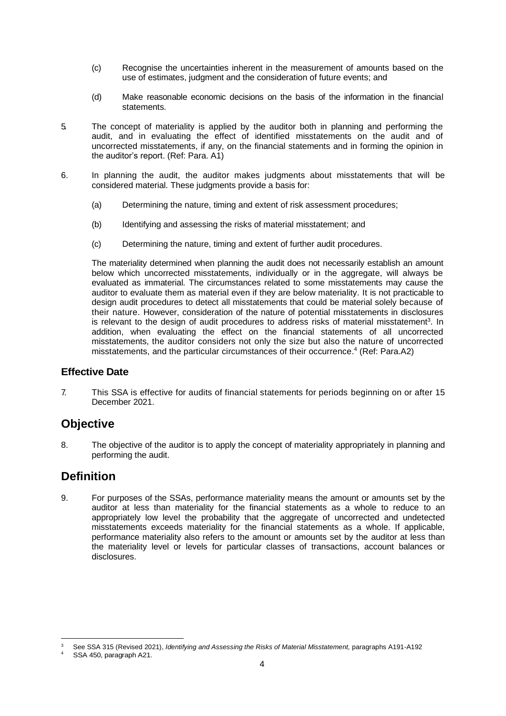- (c) Recognise the uncertainties inherent in the measurement of amounts based on the use of estimates, judgment and the consideration of future events; and
- (d) Make reasonable economic decisions on the basis of the information in the financial statements.
- 5. The concept of materiality is applied by the auditor both in planning and performing the audit, and in evaluating the effect of identified misstatements on the audit and of uncorrected misstatements, if any, on the financial statements and in forming the opinion in the auditor's report. (Ref: Para. A1)
- 6. In planning the audit, the auditor makes judgments about misstatements that will be considered material. These judgments provide a basis for:
	- (a) Determining the nature, timing and extent of risk assessment procedures;
	- (b) Identifying and assessing the risks of material misstatement; and
	- (c) Determining the nature, timing and extent of further audit procedures.

The materiality determined when planning the audit does not necessarily establish an amount below which uncorrected misstatements, individually or in the aggregate, will always be evaluated as immaterial. The circumstances related to some misstatements may cause the auditor to evaluate them as material even if they are below materiality. It is not practicable to design audit procedures to detect all misstatements that could be material solely because of their nature. However, consideration of the nature of potential misstatements in disclosures is relevant to the design of audit procedures to address risks of material misstatement<sup>3</sup>. In addition, when evaluating the effect on the financial statements of all uncorrected misstatements, the auditor considers not only the size but also the nature of uncorrected misstatements, and the particular circumstances of their occurrence. 4 (Ref: Para.A2)

#### **Effective Date**

7. This SSA is effective for audits of financial statements for periods beginning on or after 15 December 2021.

# **Objective**

8. The objective of the auditor is to apply the concept of materiality appropriately in planning and performing the audit.

# **Definition**

9. For purposes of the SSAs, performance materiality means the amount or amounts set by the auditor at less than materiality for the financial statements as a whole to reduce to an appropriately low level the probability that the aggregate of uncorrected and undetected misstatements exceeds materiality for the financial statements as a whole. If applicable, performance materiality also refers to the amount or amounts set by the auditor at less than the materiality level or levels for particular classes of transactions, account balances or disclosures.

<sup>3</sup> See SSA 315 (Revised 2021), *Identifying and Assessing the Risks of Material Misstatement,* paragraphs A191-A192

SSA 450, paragraph A21.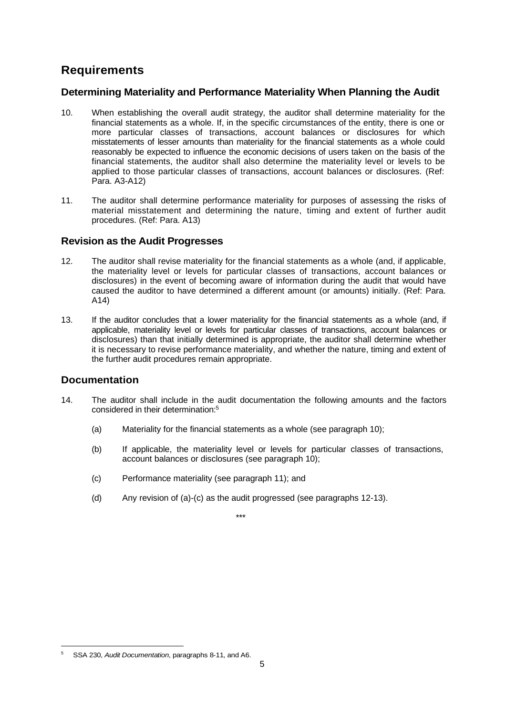# **Requirements**

#### **Determining Materiality and Performance Materiality When Planning the Audit**

- 10. When establishing the overall audit strategy, the auditor shall determine materiality for the financial statements as a whole. If, in the specific circumstances of the entity, there is one or more particular classes of transactions, account balances or disclosures for which misstatements of lesser amounts than materiality for the financial statements as a whole could reasonably be expected to influence the economic decisions of users taken on the basis of the financial statements, the auditor shall also determine the materiality level or levels to be applied to those particular classes of transactions, account balances or disclosures. (Ref: Para. A3-A12)
- 11. The auditor shall determine performance materiality for purposes of assessing the risks of material misstatement and determining the nature, timing and extent of further audit procedures. (Ref: Para. A13)

#### **Revision as the Audit Progresses**

- 12. The auditor shall revise materiality for the financial statements as a whole (and, if applicable, the materiality level or levels for particular classes of transactions, account balances or disclosures) in the event of becoming aware of information during the audit that would have caused the auditor to have determined a different amount (or amounts) initially. (Ref: Para. A14)
- 13. If the auditor concludes that a lower materiality for the financial statements as a whole (and, if applicable, materiality level or levels for particular classes of transactions, account balances or disclosures) than that initially determined is appropriate, the auditor shall determine whether it is necessary to revise performance materiality, and whether the nature, timing and extent of the further audit procedures remain appropriate.

#### **Documentation**

- 14. The auditor shall include in the audit documentation the following amounts and the factors considered in their determination:<sup>5</sup>
	- (a) Materiality for the financial statements as a whole (see paragraph 10);
	- (b) If applicable, the materiality level or levels for particular classes of transactions, account balances or disclosures (see paragraph 10);
	- (c) Performance materiality (see paragraph 11); and
	- (d) Any revision of (a)-(c) as the audit progressed (see paragraphs 12-13).

<sup>\*\*\*</sup>

<sup>5</sup> SSA 230, *Audit Documentation*, paragraphs 8-11, and A6.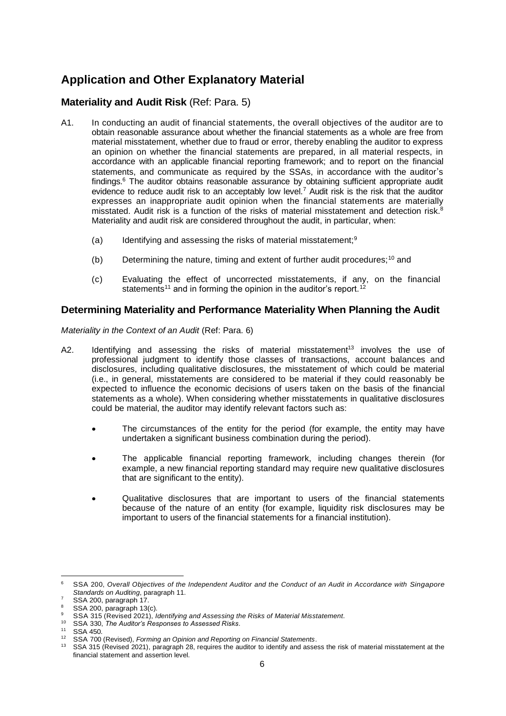# **Application and Other Explanatory Material**

#### **Materiality and Audit Risk** (Ref: Para. 5)

- A1. In conducting an audit of financial statements, the overall objectives of the auditor are to obtain reasonable assurance about whether the financial statements as a whole are free from material misstatement, whether due to fraud or error, thereby enabling the auditor to express an opinion on whether the financial statements are prepared, in all material respects, in accordance with an applicable financial reporting framework; and to report on the financial statements, and communicate as required by the SSAs, in accordance with the auditor's findings.<sup>6</sup> The auditor obtains reasonable assurance by obtaining sufficient appropriate audit evidence to reduce audit risk to an acceptably low level.<sup>7</sup> Audit risk is the risk that the auditor expresses an inappropriate audit opinion when the financial statements are materially misstated. Audit risk is a function of the risks of material misstatement and detection risk.<sup>8</sup> Materiality and audit risk are considered throughout the audit, in particular, when:
	- (a) Identifying and assessing the risks of material misstatement; $9$
	- (b) Determining the nature, timing and extent of further audit procedures;<sup>10</sup> and
	- (c) Evaluating the effect of uncorrected misstatements, if any, on the financial statements<sup>11</sup> and in forming the opinion in the auditor's report.<sup>12</sup>

#### **Determining Materiality and Performance Materiality When Planning the Audit**

*Materiality in the Context of an Audit* (Ref: Para. 6)

- A2. Identifying and assessing the risks of material misstatement<sup>13</sup> involves the use of professional judgment to identify those classes of transactions, account balances and disclosures, including qualitative disclosures, the misstatement of which could be material (i.e., in general, misstatements are considered to be material if they could reasonably be expected to influence the economic decisions of users taken on the basis of the financial statements as a whole). When considering whether misstatements in qualitative disclosures could be material, the auditor may identify relevant factors such as:
	- The circumstances of the entity for the period (for example, the entity may have undertaken a significant business combination during the period).
	- The applicable financial reporting framework, including changes therein (for example, a new financial reporting standard may require new qualitative disclosures that are significant to the entity).
	- Qualitative disclosures that are important to users of the financial statements because of the nature of an entity (for example, liquidity risk disclosures may be important to users of the financial statements for a financial institution).

<sup>6</sup> SSA 200, *Overall Objectives of the Independent Auditor and the Conduct of an Audit in Accordance with Singapore Standards on Auditing*, paragraph 11.

<sup>&</sup>lt;sup>7</sup> SSA 200, paragraph 17.

SSA 200, paragraph 13(c).

<sup>9</sup> SSA 315 (Revised 2021), *Identifying and Assessing the Risks of Material Misstatement*.

<sup>10</sup> SSA 330, *The Auditor's Responses to Assessed Risks*.

SSA 450.

<sup>12</sup> SSA 700 (Revised), *Forming an Opinion and Reporting on Financial Statements*.

<sup>13</sup> SSA 315 (Revised 2021), paragraph 28, requires the auditor to identify and assess the risk of material misstatement at the financial statement and assertion level.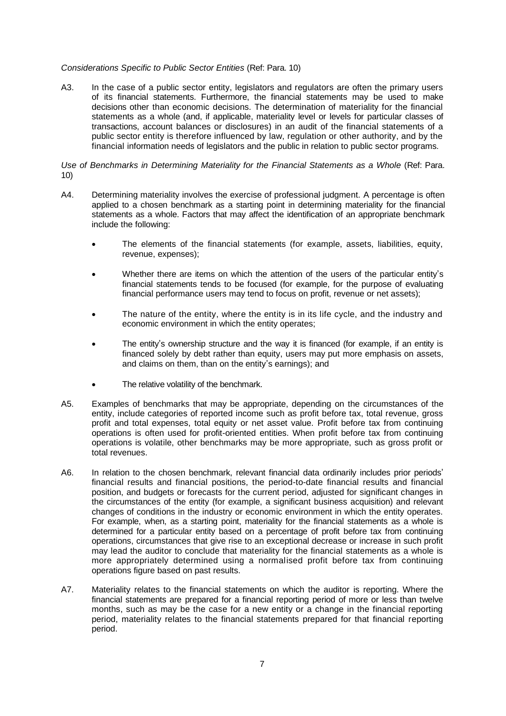#### *Considerations Specific to Public Sector Entities* (Ref: Para. 10)

A3. In the case of a public sector entity, legislators and regulators are often the primary users of its financial statements. Furthermore, the financial statements may be used to make decisions other than economic decisions. The determination of materiality for the financial statements as a whole (and, if applicable, materiality level or levels for particular classes of transactions, account balances or disclosures) in an audit of the financial statements of a public sector entity is therefore influenced by law, regulation or other authority, and by the financial information needs of legislators and the public in relation to public sector programs.

#### *Use of Benchmarks in Determining Materiality for the Financial Statements as a Whole* (Ref: Para. 10)

- A4. Determining materiality involves the exercise of professional judgment. A percentage is often applied to a chosen benchmark as a starting point in determining materiality for the financial statements as a whole. Factors that may affect the identification of an appropriate benchmark include the following:
	- The elements of the financial statements (for example, assets, liabilities, equity, revenue, expenses);
	- Whether there are items on which the attention of the users of the particular entity's financial statements tends to be focused (for example, for the purpose of evaluating financial performance users may tend to focus on profit, revenue or net assets);
	- The nature of the entity, where the entity is in its life cycle, and the industry and economic environment in which the entity operates;
	- The entity's ownership structure and the way it is financed (for example, if an entity is financed solely by debt rather than equity, users may put more emphasis on assets, and claims on them, than on the entity's earnings); and
	- The relative volatility of the benchmark.
- A5. Examples of benchmarks that may be appropriate, depending on the circumstances of the entity, include categories of reported income such as profit before tax, total revenue, gross profit and total expenses, total equity or net asset value. Profit before tax from continuing operations is often used for profit-oriented entities. When profit before tax from continuing operations is volatile, other benchmarks may be more appropriate, such as gross profit or total revenues.
- A6. In relation to the chosen benchmark, relevant financial data ordinarily includes prior periods' financial results and financial positions, the period-to-date financial results and financial position, and budgets or forecasts for the current period, adjusted for significant changes in the circumstances of the entity (for example, a significant business acquisition) and relevant changes of conditions in the industry or economic environment in which the entity operates. For example, when, as a starting point, materiality for the financial statements as a whole is determined for a particular entity based on a percentage of profit before tax from continuing operations, circumstances that give rise to an exceptional decrease or increase in such profit may lead the auditor to conclude that materiality for the financial statements as a whole is more appropriately determined using a normalised profit before tax from continuing operations figure based on past results.
- A7. Materiality relates to the financial statements on which the auditor is reporting. Where the financial statements are prepared for a financial reporting period of more or less than twelve months, such as may be the case for a new entity or a change in the financial reporting period, materiality relates to the financial statements prepared for that financial reporting period.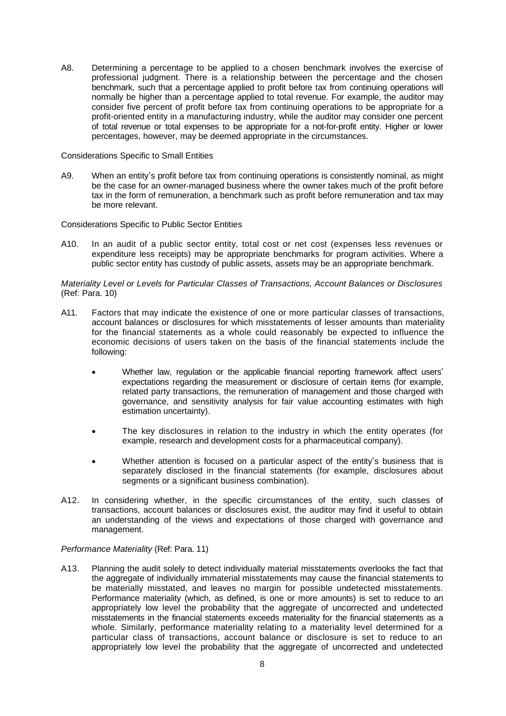A8. Determining a percentage to be applied to a chosen benchmark involves the exercise of professional judgment. There is a relationship between the percentage and the chosen benchmark, such that a percentage applied to profit before tax from continuing operations will normally be higher than a percentage applied to total revenue. For example, the auditor may consider five percent of profit before tax from continuing operations to be appropriate for a profit-oriented entity in a manufacturing industry, while the auditor may consider one percent of total revenue or total expenses to be appropriate for a not-for-profit entity. Higher or lower percentages, however, may be deemed appropriate in the circumstances.

Considerations Specific to Small Entities

A9. When an entity's profit before tax from continuing operations is consistently nominal, as might be the case for an owner-managed business where the owner takes much of the profit before tax in the form of remuneration, a benchmark such as profit before remuneration and tax may be more relevant.

Considerations Specific to Public Sector Entities

A10. In an audit of a public sector entity, total cost or net cost (expenses less revenues or expenditure less receipts) may be appropriate benchmarks for program activities. Where a public sector entity has custody of public assets, assets may be an appropriate benchmark.

*Materiality Level or Levels for Particular Classes of Transactions, Account Balances or Disclosures*  (Ref: Para. 10)

- A11. Factors that may indicate the existence of one or more particular classes of transactions, account balances or disclosures for which misstatements of lesser amounts than materiality for the financial statements as a whole could reasonably be expected to influence the economic decisions of users taken on the basis of the financial statements include the following:
	- Whether law, regulation or the applicable financial reporting framework affect users' expectations regarding the measurement or disclosure of certain items (for example, related party transactions, the remuneration of management and those charged with governance, and sensitivity analysis for fair value accounting estimates with high estimation uncertainty).
	- The key disclosures in relation to the industry in which the entity operates (for example, research and development costs for a pharmaceutical company).
	- Whether attention is focused on a particular aspect of the entity's business that is separately disclosed in the financial statements (for example, disclosures about segments or a significant business combination).
- A12. In considering whether, in the specific circumstances of the entity, such classes of transactions, account balances or disclosures exist, the auditor may find it useful to obtain an understanding of the views and expectations of those charged with governance and management.

#### *Performance Materiality* (Ref: Para. 11)

A13. Planning the audit solely to detect individually material misstatements overlooks the fact that the aggregate of individually immaterial misstatements may cause the financial statements to be materially misstated, and leaves no margin for possible undetected misstatements. Performance materiality (which, as defined, is one or more amounts) is set to reduce to an appropriately low level the probability that the aggregate of uncorrected and undetected misstatements in the financial statements exceeds materiality for the financial statements as a whole. Similarly, performance materiality relating to a materiality level determined for a particular class of transactions, account balance or disclosure is set to reduce to an appropriately low level the probability that the aggregate of uncorrected and undetected